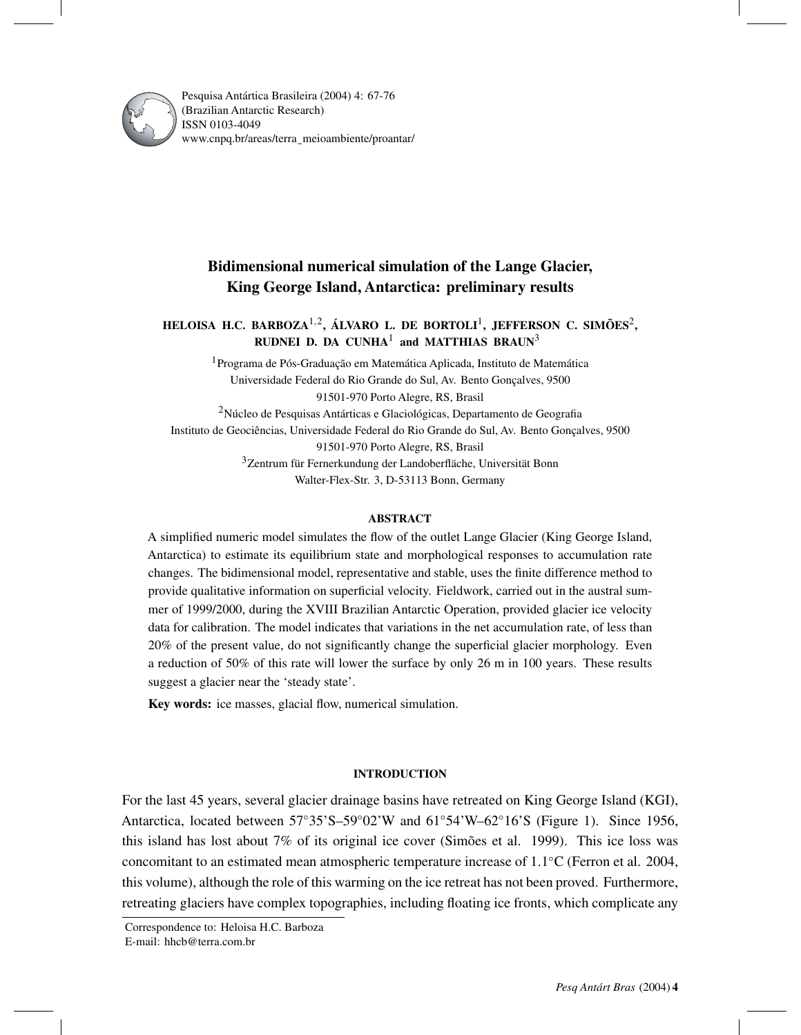

Pesquisa Antártica Brasileira (2004) 4: 67-76 (Brazilian Antarctic Research) ISSN 0103-4049 www.cnpq.br/areas/terra¯ meioambiente/proantar/

# **Bidimensional numerical simulation of the Lange Glacier, King George Island, Antarctica: preliminary results**

# **HELOISA H.C. BARBOZA**1*,*2**, ÁLVARO L. DE BORTOLI**1**, JEFFERSON C. SIMÕES**2**, RUDNEI D. DA CUNHA<sup>1</sup> and MATTHIAS BRAUN<sup>3</sup>**

1Programa de Pós-Graduação em Matemática Aplicada, Instituto de Matemática Universidade Federal do Rio Grande do Sul, Av. Bento Gonçalves, 9500 91501-970 Porto Alegre, RS, Brasil 2Núcleo de Pesquisas Antárticas e Glaciológicas, Departamento de Geografia Instituto de Geociências, Universidade Federal do Rio Grande do Sul, Av. Bento Gonçalves, 9500 91501-970 Porto Alegre, RS, Brasil 3Zentrum für Fernerkundung der Landoberfläche, Universität Bonn Walter-Flex-Str. 3, D-53113 Bonn, Germany

# **ABSTRACT**

A simplified numeric model simulates the flow of the outlet Lange Glacier (King George Island, Antarctica) to estimate its equilibrium state and morphological responses to accumulation rate changes. The bidimensional model, representative and stable, uses the finite difference method to provide qualitative information on superficial velocity. Fieldwork, carried out in the austral summer of 1999/2000, during the XVIII Brazilian Antarctic Operation, provided glacier ice velocity data for calibration. The model indicates that variations in the net accumulation rate, of less than 20% of the present value, do not significantly change the superficial glacier morphology. Even a reduction of 50% of this rate will lower the surface by only 26 m in 100 years. These results suggest a glacier near the 'steady state'.

**Key words:** ice masses, glacial flow, numerical simulation.

# **INTRODUCTION**

For the last 45 years, several glacier drainage basins have retreated on King George Island (KGI), Antarctica, located between 57◦35'S–59◦02'W and 61◦54'W–62◦16'S (Figure 1). Since 1956, this island has lost about 7% of its original ice cover (Simões et al. 1999). This ice loss was concomitant to an estimated mean atmospheric temperature increase of 1*.*1◦C (Ferron et al. 2004, this volume), although the role of this warming on the ice retreat has not been proved. Furthermore, retreating glaciers have complex topographies, including floating ice fronts, which complicate any

Correspondence to: Heloisa H.C. Barboza E-mail: hhcb@terra.com.br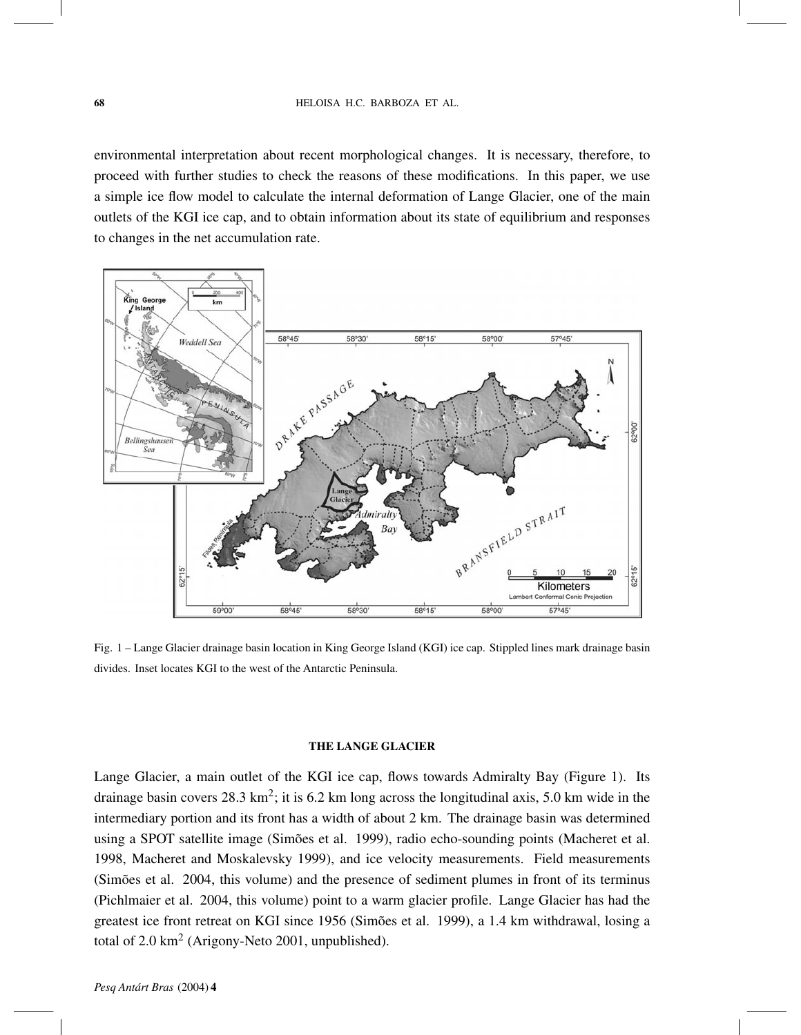environmental interpretation about recent morphological changes. It is necessary, therefore, to proceed with further studies to check the reasons of these modifications. In this paper, we use a simple ice flow model to calculate the internal deformation of Lange Glacier, one of the main outlets of the KGI ice cap, and to obtain information about its state of equilibrium and responses to changes in the net accumulation rate.



Fig. 1 – Lange Glacier drainage basin location in King George Island (KGI) ice cap. Stippled lines mark drainage basin divides. Inset locates KGI to the west of the Antarctic Peninsula.

### **THE LANGE GLACIER**

Lange Glacier, a main outlet of the KGI ice cap, flows towards Admiralty Bay (Figure 1). Its drainage basin covers  $28.3 \text{ km}^2$ ; it is 6.2 km long across the longitudinal axis, 5.0 km wide in the intermediary portion and its front has a width of about 2 km. The drainage basin was determined using a SPOT satellite image (Simões et al. 1999), radio echo-sounding points (Macheret et al. 1998, Macheret and Moskalevsky 1999), and ice velocity measurements. Field measurements (Simões et al. 2004, this volume) and the presence of sediment plumes in front of its terminus (Pichlmaier et al. 2004, this volume) point to a warm glacier profile. Lange Glacier has had the greatest ice front retreat on KGI since 1956 (Simões et al. 1999), a 1.4 km withdrawal, losing a total of  $2.0 \text{ km}^2$  (Arigony-Neto 2001, unpublished).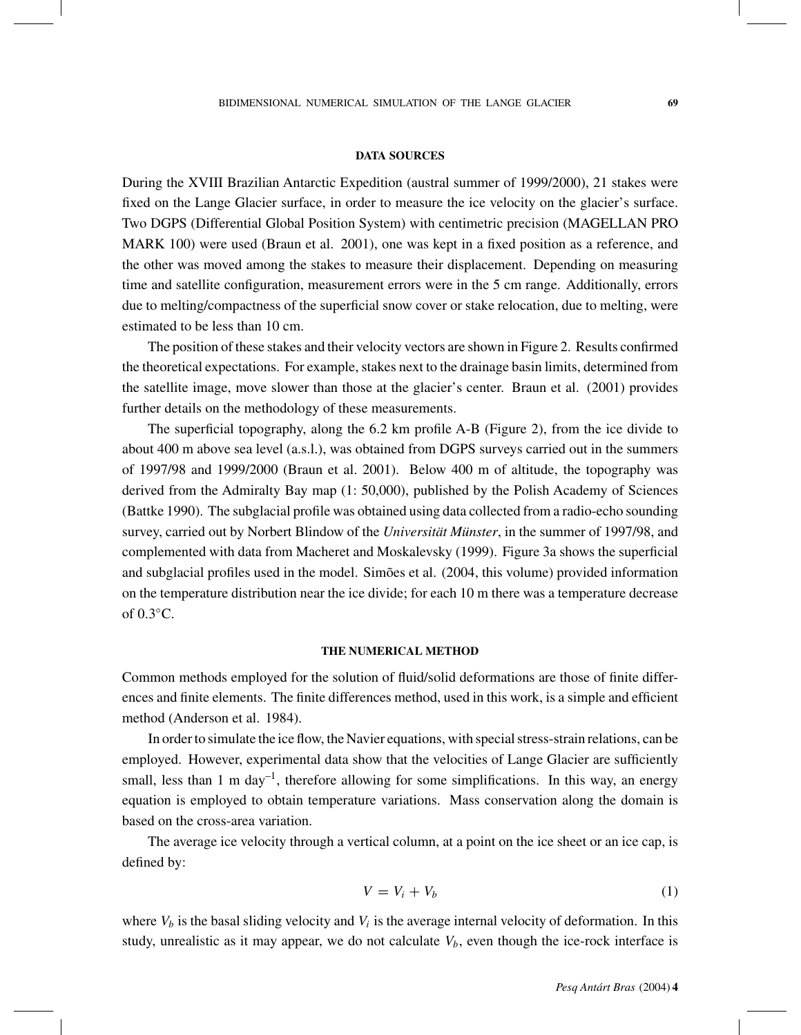#### **DATA SOURCES**

During the XVIII Brazilian Antarctic Expedition (austral summer of 1999/2000), 21 stakes were fixed on the Lange Glacier surface, in order to measure the ice velocity on the glacier's surface. Two DGPS (Differential Global Position System) with centimetric precision (MAGELLAN PRO MARK 100) were used (Braun et al. 2001), one was kept in a fixed position as a reference, and the other was moved among the stakes to measure their displacement. Depending on measuring time and satellite configuration, measurement errors were in the 5 cm range. Additionally, errors due to melting/compactness of the superficial snow cover or stake relocation, due to melting, were estimated to be less than 10 cm.

The position of these stakes and their velocity vectors are shown in Figure 2. Results confirmed the theoretical expectations. For example, stakes next to the drainage basin limits, determined from the satellite image, move slower than those at the glacier's center. Braun et al. (2001) provides further details on the methodology of these measurements.

The superficial topography, along the 6.2 km profile A-B (Figure 2), from the ice divide to about 400 m above sea level (a.s.l.), was obtained from DGPS surveys carried out in the summers of 1997/98 and 1999/2000 (Braun et al. 2001). Below 400 m of altitude, the topography was derived from the Admiralty Bay map (1: 50,000), published by the Polish Academy of Sciences (Battke 1990). The subglacial profile was obtained using data collected from a radio-echo sounding survey, carried out by Norbert Blindow of the *Universität Münster*, in the summer of 1997/98, and complemented with data from Macheret and Moskalevsky (1999). Figure 3a shows the superficial and subglacial profiles used in the model. Simões et al. (2004, this volume) provided information on the temperature distribution near the ice divide; for each 10 m there was a temperature decrease of 0*.*3◦C.

# **THE NUMERICAL METHOD**

Common methods employed for the solution of fluid/solid deformations are those of finite differences and finite elements. The finite differences method, used in this work, is a simple and efficient method (Anderson et al. 1984).

In order to simulate the ice flow, the Navier equations, with special stress-strain relations, can be employed. However, experimental data show that the velocities of Lange Glacier are sufficiently small, less than 1 m day<sup>-1</sup>, therefore allowing for some simplifications. In this way, an energy equation is employed to obtain temperature variations. Mass conservation along the domain is based on the cross-area variation.

The average ice velocity through a vertical column, at a point on the ice sheet or an ice cap, is defined by:

$$
V = V_i + V_b \tag{1}
$$

where  $V_b$  is the basal sliding velocity and  $V_i$  is the average internal velocity of deformation. In this study, unrealistic as it may appear, we do not calculate  $V_b$ , even though the ice-rock interface is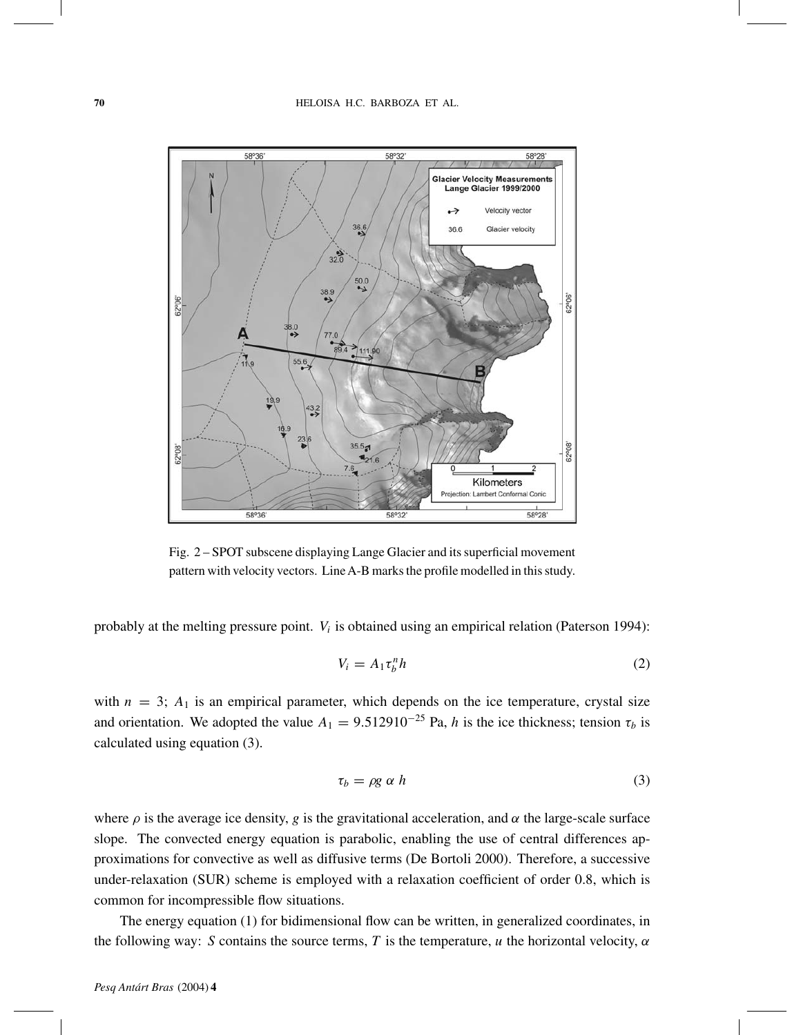

Fig. 2 – SPOT subscene displaying Lange Glacier and its superficial movement pattern with velocity vectors. LineA-B marks the profile modelled in this study.

probably at the melting pressure point. *Vi* is obtained using an empirical relation (Paterson 1994):

$$
V_i = A_1 \tau_b^n h \tag{2}
$$

with  $n = 3$ ;  $A_1$  is an empirical parameter, which depends on the ice temperature, crystal size and orientation. We adopted the value  $A_1 = 9.512910^{-25}$  Pa, *h* is the ice thickness; tension  $\tau_b$  is calculated using equation (3).

$$
\tau_b = \rho g \alpha h \tag{3}
$$

where  $\rho$  is the average ice density, *g* is the gravitational acceleration, and  $\alpha$  the large-scale surface slope. The convected energy equation is parabolic, enabling the use of central differences approximations for convective as well as diffusive terms (De Bortoli 2000). Therefore, a successive under-relaxation (SUR) scheme is employed with a relaxation coefficient of order 0.8, which is common for incompressible flow situations.

The energy equation (1) for bidimensional flow can be written, in generalized coordinates, in the following way: *S* contains the source terms, *T* is the temperature, *u* the horizontal velocity, *α*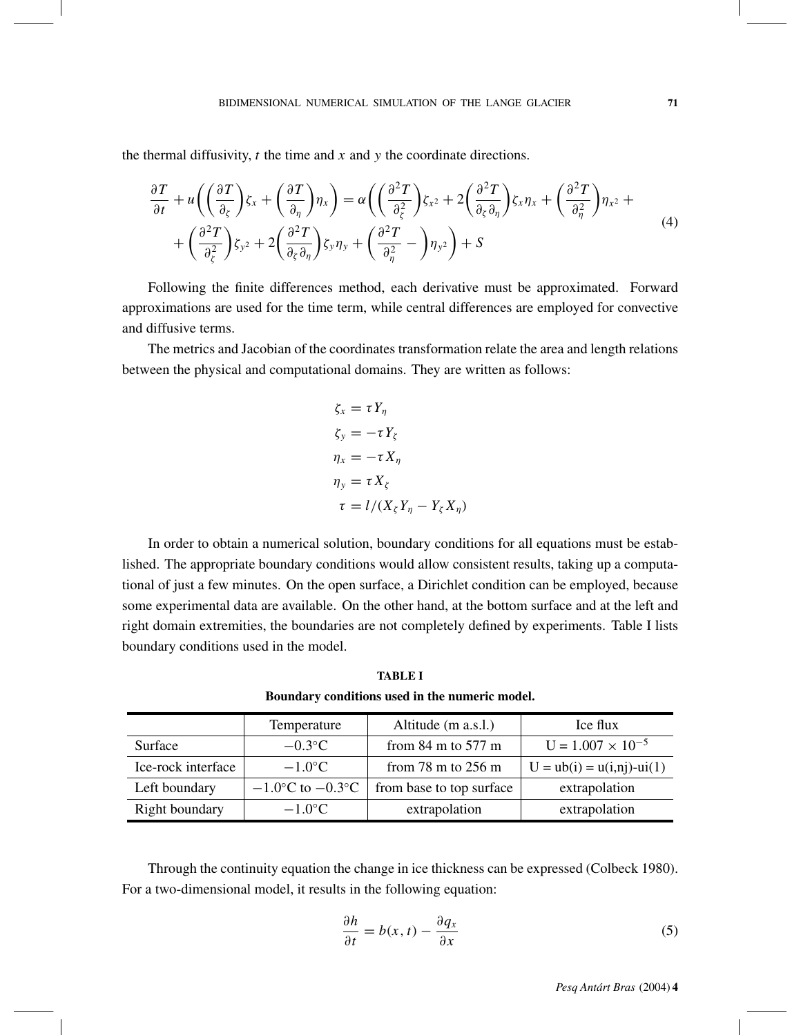the thermal diffusivity, *t* the time and *x* and *y* the coordinate directions.

$$
\frac{\partial T}{\partial t} + u \left( \left( \frac{\partial T}{\partial_{\zeta}} \right) \zeta_{x} + \left( \frac{\partial T}{\partial_{\eta}} \right) \eta_{x} \right) = \alpha \left( \left( \frac{\partial^{2} T}{\partial_{\zeta}^{2}} \right) \zeta_{x^{2}} + 2 \left( \frac{\partial^{2} T}{\partial_{\zeta} \partial_{\eta}} \right) \zeta_{x} \eta_{x} + \left( \frac{\partial^{2} T}{\partial_{\eta}^{2}} \right) \eta_{x^{2}} + \\ + \left( \frac{\partial^{2} T}{\partial_{\zeta}^{2}} \right) \zeta_{y^{2}} + 2 \left( \frac{\partial^{2} T}{\partial_{\zeta} \partial_{\eta}} \right) \zeta_{y} \eta_{y} + \left( \frac{\partial^{2} T}{\partial_{\eta}^{2}} - \right) \eta_{y^{2}} \right) + S \tag{4}
$$

Following the finite differences method, each derivative must be approximated. Forward approximations are used for the time term, while central differences are employed for convective and diffusive terms.

The metrics and Jacobian of the coordinates transformation relate the area and length relations between the physical and computational domains. They are written as follows:

$$
\zeta_x = \tau Y_\eta
$$
  
\n
$$
\zeta_y = -\tau Y_\zeta
$$
  
\n
$$
\eta_x = -\tau X_\eta
$$
  
\n
$$
\eta_y = \tau X_\zeta
$$
  
\n
$$
\tau = l/(X_\zeta Y_\eta - Y_\zeta X_\eta)
$$

In order to obtain a numerical solution, boundary conditions for all equations must be established. The appropriate boundary conditions would allow consistent results, taking up a computational of just a few minutes. On the open surface, a Dirichlet condition can be employed, because some experimental data are available. On the other hand, at the bottom surface and at the left and right domain extremities, the boundaries are not completely defined by experiments. Table I lists boundary conditions used in the model.

|                    | Temperature            | Altitude (m a.s.l.)                    | Ice flux                      |
|--------------------|------------------------|----------------------------------------|-------------------------------|
| Surface            | $-0.3$ °C              | from $84 \text{ m}$ to $577 \text{ m}$ | $U = 1.007 \times 10^{-5}$    |
| Ice-rock interface | $-1.0$ °C              | from $78 \text{ m}$ to $256 \text{ m}$ | $U = ub(i) = u(i,nj) - ui(1)$ |
| Left boundary      | $-1.0$ °C to $-0.3$ °C | from base to top surface               | extrapolation                 |
| Right boundary     | $-1.0$ °C              | extrapolation                          | extrapolation                 |

**TABLE I Boundary conditions used in the numeric model.**

Through the continuity equation the change in ice thickness can be expressed (Colbeck 1980). For a two-dimensional model, it results in the following equation:

$$
\frac{\partial h}{\partial t} = b(x, t) - \frac{\partial q_x}{\partial x}
$$
 (5)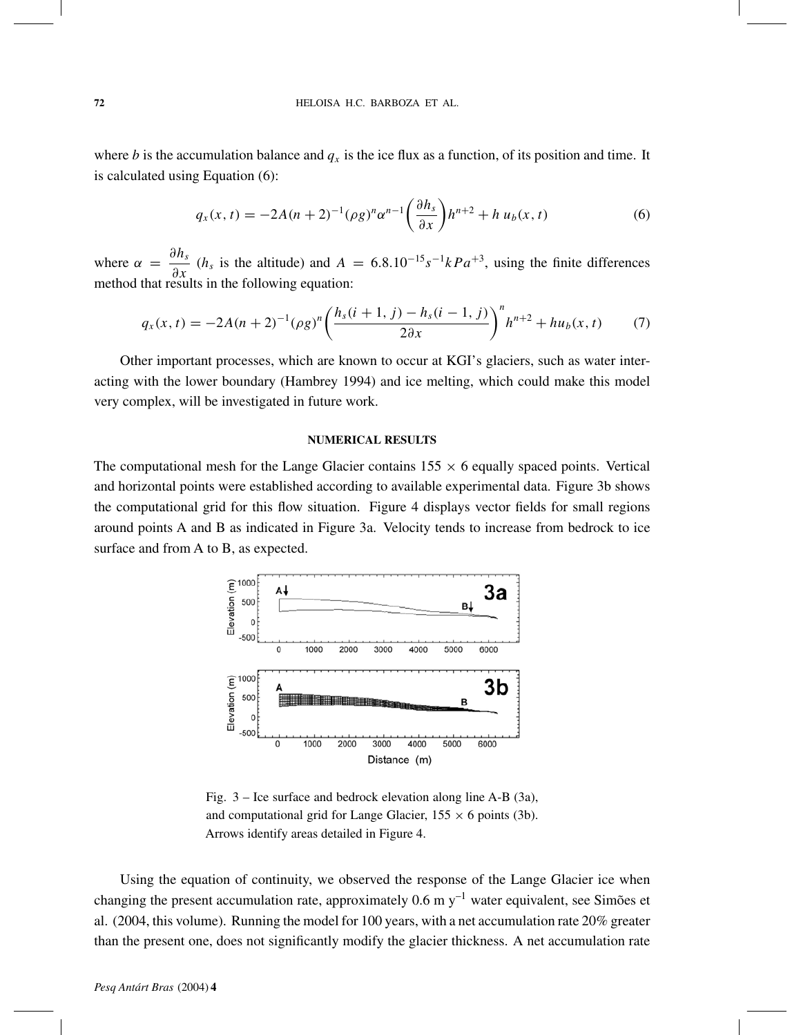where *b* is the accumulation balance and  $q_x$  is the ice flux as a function, of its position and time. It is calculated using Equation (6):

$$
q_x(x,t) = -2A(n+2)^{-1} (\rho g)^n \alpha^{n-1} \left(\frac{\partial h_s}{\partial x}\right) h^{n+2} + h u_b(x,t) \tag{6}
$$

where  $\alpha = \frac{\partial n_s}{\partial x}$  (*h<sub>s</sub>* is the altitude) and  $A = 6.8 \cdot 10^{-15} s^{-1} kPa^{+3}$ , using the finite differences method that results in the following equation: method that results in the following equation:

$$
q_x(x,t) = -2A(n+2)^{-1}(\rho g)^n \left(\frac{h_s(i+1,j) - h_s(i-1,j)}{2\partial x}\right)^n h^{n+2} + hu_b(x,t) \tag{7}
$$

Other important processes, which are known to occur at KGI's glaciers, such as water interacting with the lower boundary (Hambrey 1994) and ice melting, which could make this model very complex, will be investigated in future work.

### **NUMERICAL RESULTS**

The computational mesh for the Lange Glacier contains  $155 \times 6$  equally spaced points. Vertical and horizontal points were established according to available experimental data. Figure 3b shows the computational grid for this flow situation. Figure 4 displays vector fields for small regions around points A and B as indicated in Figure 3a. Velocity tends to increase from bedrock to ice surface and from A to B, as expected.



Fig. 3 – Ice surface and bedrock elevation along line A-B (3a), and computational grid for Lange Glacier,  $155 \times 6$  points (3b). Arrows identify areas detailed in Figure 4.

Using the equation of continuity, we observed the response of the Lange Glacier ice when changing the present accumulation rate, approximately  $0.6 \text{ m y}^{-1}$  water equivalent, see Simões et al. (2004, this volume). Running the model for 100 years, with a net accumulation rate 20% greater than the present one, does not significantly modify the glacier thickness. A net accumulation rate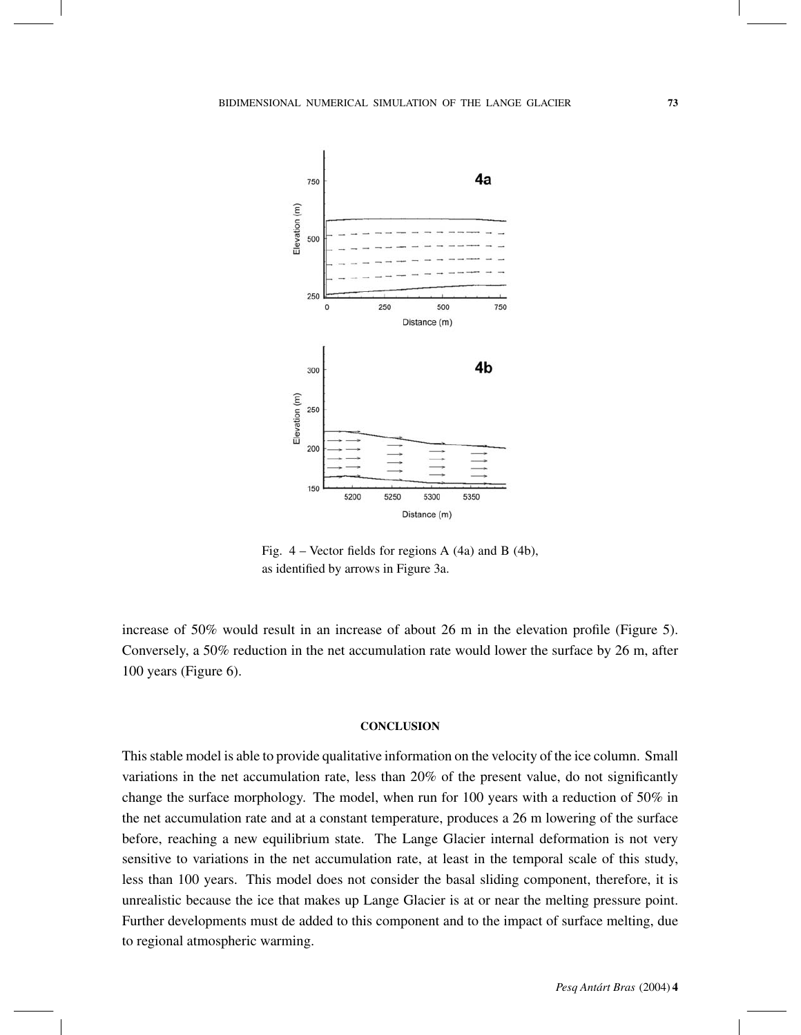

Fig. 4 – Vector fields for regions A (4a) and B (4b), as identified by arrows in Figure 3a.

increase of 50% would result in an increase of about 26 m in the elevation profile (Figure 5). Conversely, a 50% reduction in the net accumulation rate would lower the surface by 26 m, after 100 years (Figure 6).

## **CONCLUSION**

This stable model is able to provide qualitative information on the velocity of the ice column. Small variations in the net accumulation rate, less than 20% of the present value, do not significantly change the surface morphology. The model, when run for 100 years with a reduction of 50% in the net accumulation rate and at a constant temperature, produces a 26 m lowering of the surface before, reaching a new equilibrium state. The Lange Glacier internal deformation is not very sensitive to variations in the net accumulation rate, at least in the temporal scale of this study, less than 100 years. This model does not consider the basal sliding component, therefore, it is unrealistic because the ice that makes up Lange Glacier is at or near the melting pressure point. Further developments must de added to this component and to the impact of surface melting, due to regional atmospheric warming.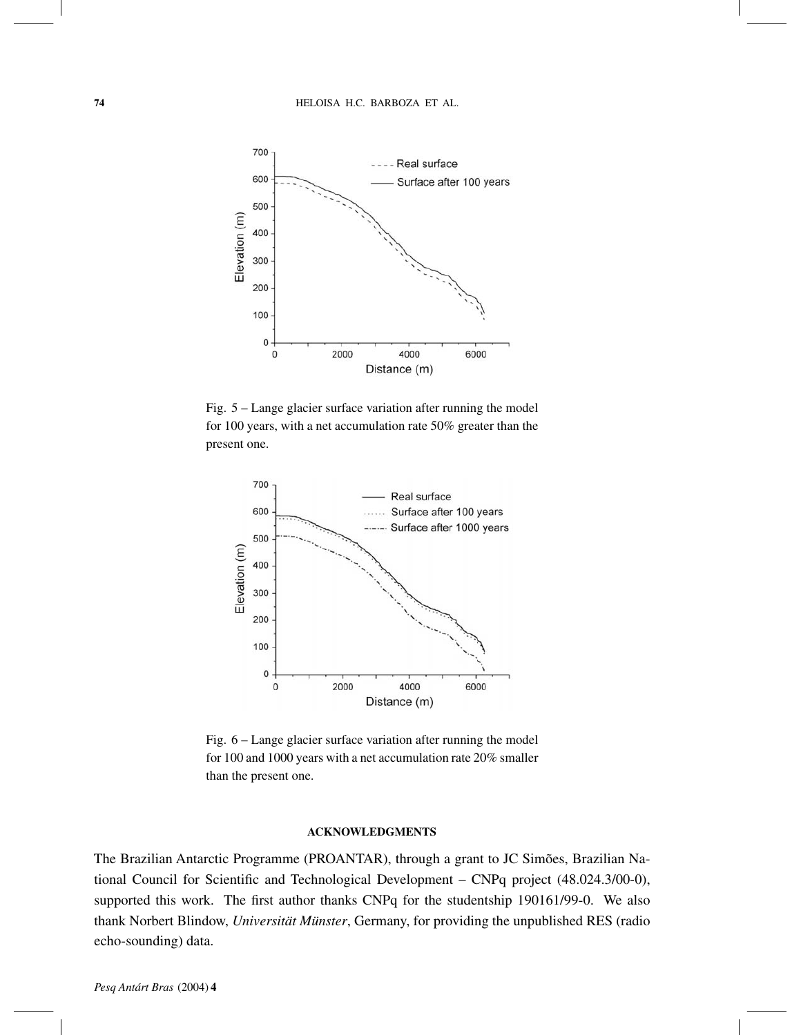

Fig. 5 – Lange glacier surface variation after running the model for 100 years, with a net accumulation rate 50% greater than the present one.



Fig. 6 – Lange glacier surface variation after running the model for 100 and 1000 years with a net accumulation rate 20% smaller than the present one.

## **ACKNOWLEDGMENTS**

The Brazilian Antarctic Programme (PROANTAR), through a grant to JC Simões, Brazilian National Council for Scientific and Technological Development – CNPq project (48.024.3/00-0), supported this work. The first author thanks CNPq for the studentship 190161/99-0. We also thank Norbert Blindow, *Universität Münster*, Germany, for providing the unpublished RES (radio echo-sounding) data.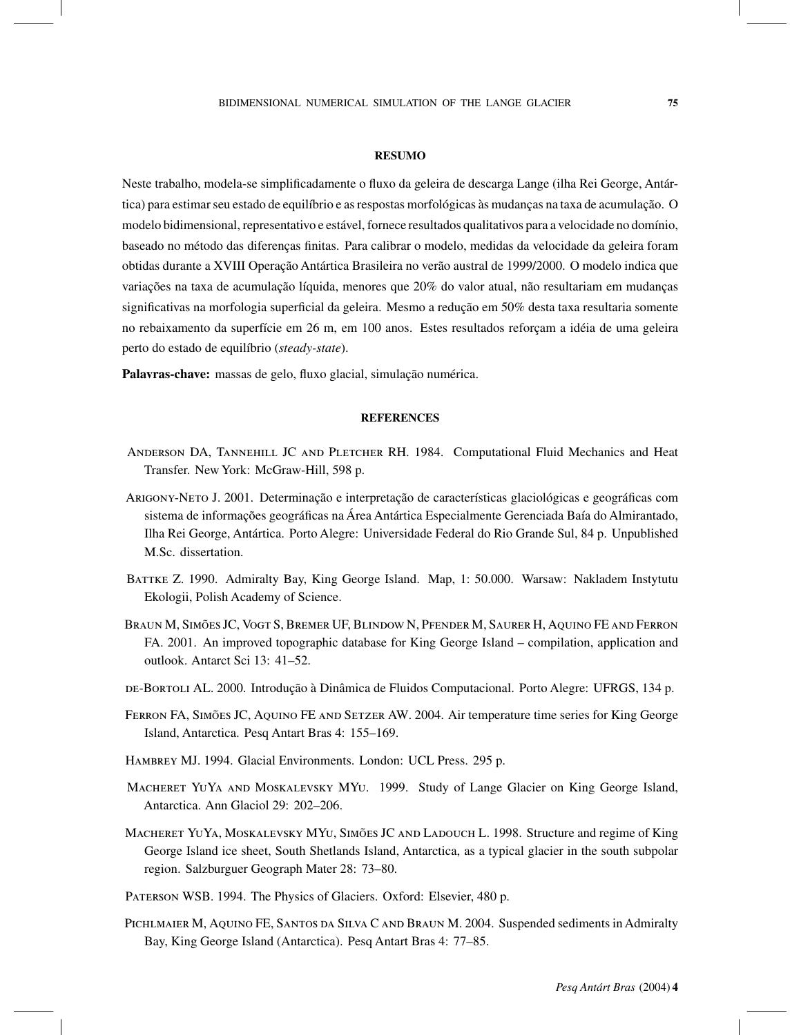#### **RESUMO**

Neste trabalho, modela-se simplificadamente o fluxo da geleira de descarga Lange (ilha Rei George, Antártica) para estimar seu estado de equilíbrio e as respostas morfológicas às mudanças na taxa de acumulação. O modelo bidimensional, representativo e estável, fornece resultados qualitativos para a velocidade no domínio, baseado no método das diferenças finitas. Para calibrar o modelo, medidas da velocidade da geleira foram obtidas durante a XVIII Operação Antártica Brasileira no verão austral de 1999/2000. O modelo indica que variações na taxa de acumulação líquida, menores que 20% do valor atual, não resultariam em mudanças significativas na morfologia superficial da geleira. Mesmo a redução em 50% desta taxa resultaria somente no rebaixamento da superfície em 26 m, em 100 anos. Estes resultados reforçam a idéia de uma geleira perto do estado de equilíbrio (*steady-state*).

**Palavras-chave:** massas de gelo, fluxo glacial, simulação numérica.

#### **REFERENCES**

- ANDERSON DA, TANNEHILL JC AND PLETCHER RH. 1984. Computational Fluid Mechanics and Heat Transfer. New York: McGraw-Hill, 598 p.
- Arigony-Neto J. 2001. Determinação e interpretação de características glaciológicas e geográficas com sistema de informações geográficas na Área Antártica Especialmente Gerenciada Baía do Almirantado, Ilha Rei George, Antártica. Porto Alegre: Universidade Federal do Rio Grande Sul, 84 p. Unpublished M.Sc. dissertation.
- Battke Z. 1990. Admiralty Bay, King George Island. Map, 1: 50.000. Warsaw: Nakladem Instytutu Ekologii, Polish Academy of Science.
- Braun M, Simões JC, Vogt S, Bremer UF, Blindow N, Pfender M, Saurer H, Aquino FE and Ferron FA. 2001. An improved topographic database for King George Island – compilation, application and outlook. Antarct Sci 13: 41–52.
- de-Bortoli AL. 2000. Introdução à Dinâmica de Fluidos Computacional. Porto Alegre: UFRGS, 134 p.
- Ferron FA, Simões JC, Aquino FE and Setzer AW. 2004. Air temperature time series for King George Island, Antarctica. Pesq Antart Bras 4: 155–169.
- Hambrey MJ. 1994. Glacial Environments. London: UCL Press. 295 p.
- Macheret YuYa and Moskalevsky MYu. 1999. Study of Lange Glacier on King George Island, Antarctica. Ann Glaciol 29: 202–206.
- MACHERET YUYA, MOSKALEVSKY MYU, SIMÕES JC AND LADOUCH L. 1998. Structure and regime of King George Island ice sheet, South Shetlands Island, Antarctica, as a typical glacier in the south subpolar region. Salzburguer Geograph Mater 28: 73–80.
- Paterson WSB. 1994. The Physics of Glaciers. Oxford: Elsevier, 480 p.
- PICHLMAIER M, AQUINO FE, SANTOS DA SILVA C AND BRAUN M. 2004. Suspended sediments in Admiralty Bay, King George Island (Antarctica). Pesq Antart Bras 4: 77–85.